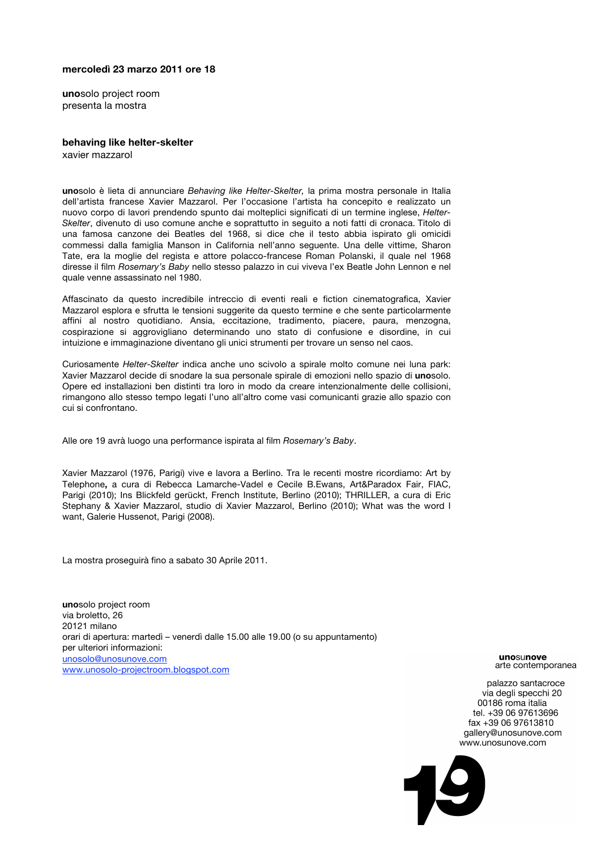## **mercoledì 23 marzo 2011 ore 18**

**uno**solo project room presenta la mostra

## **behaving like helter-skelter**

xavier mazzarol

**uno**solo è lieta di annunciare *Behaving like Helter-Skelter,* la prima mostra personale in Italia dell'artista francese Xavier Mazzarol. Per l'occasione l'artista ha concepito e realizzato un nuovo corpo di lavori prendendo spunto dai molteplici significati di un termine inglese, *Helter-Skelter*, divenuto di uso comune anche e soprattutto in seguito a noti fatti di cronaca. Titolo di una famosa canzone dei Beatles del 1968, si dice che il testo abbia ispirato gli omicidi commessi dalla famiglia Manson in California nell'anno seguente. Una delle vittime, Sharon Tate, era la moglie del regista e attore polacco-francese Roman Polanski, il quale nel 1968 diresse il film *Rosemary's Baby* nello stesso palazzo in cui viveva l'ex Beatle John Lennon e nel quale venne assassinato nel 1980.

Affascinato da questo incredibile intreccio di eventi reali e fiction cinematografica, Xavier Mazzarol esplora e sfrutta le tensioni suggerite da questo termine e che sente particolarmente affini al nostro quotidiano. Ansia, eccitazione, tradimento, piacere, paura, menzogna, cospirazione si aggrovigliano determinando uno stato di confusione e disordine, in cui intuizione e immaginazione diventano gli unici strumenti per trovare un senso nel caos.

Curiosamente *Helter-Skelter* indica anche uno scivolo a spirale molto comune nei luna park: Xavier Mazzarol decide di snodare la sua personale spirale di emozioni nello spazio di **uno**solo. Opere ed installazioni ben distinti tra loro in modo da creare intenzionalmente delle collisioni, rimangono allo stesso tempo legati l'uno all'altro come vasi comunicanti grazie allo spazio con cui si confrontano.

Alle ore 19 avrà luogo una performance ispirata al film *Rosemary's Baby*.

Xavier Mazzarol (1976, Parigi) vive e lavora a Berlino. Tra le recenti mostre ricordiamo: Art by Telephone**,** a cura di Rebecca Lamarche-Vadel e Cecile B.Ewans, Art&Paradox Fair, FIAC, Parigi (2010); Ins Blickfeld gerückt, French Institute, Berlino (2010); THRILLER, a cura di Eric Stephany & Xavier Mazzarol, studio di Xavier Mazzarol, Berlino (2010); What was the word I want, Galerie Hussenot, Parigi (2008).

La mostra proseguirà fino a sabato 30 Aprile 2011.

**uno**solo project room via broletto, 26 20121 milano orari di apertura: martedì – venerdì dalle 15.00 alle 19.00 (o su appuntamento) per ulteriori informazioni: unosolo@unosunove.com www.unosolo-projectroom.blogspot.com

unosunove arte contemporanea

palazzo santacroce via degli specchi 20 00186 roma italia tel. +39 06 97613696 fax +39 06 97613810 gallery@unosunove.com www.unosunove.com